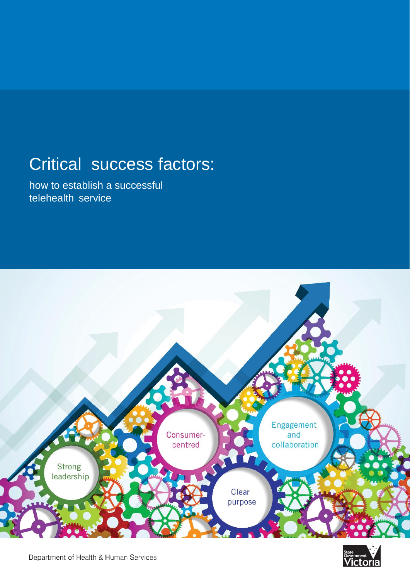# Critical success factors:

how to establish a successful telehealth service





Department of Health & Human Services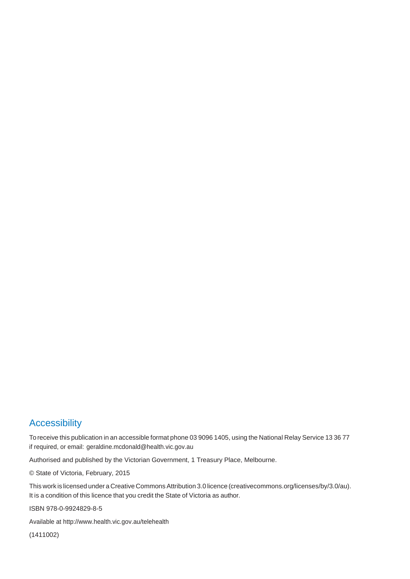## **Accessibility**

To receive this publication in an accessible format phone 03 9096 1405, using the National Relay Service 13 36 77 if required, or email: [geraldine.mcdonald@health.vic.gov.au](mailto:geraldine.mcdonald@health.vic.gov.au)

Authorised and published by the Victorian Government, 1 Treasury Place, Melbourne.

© State of Victoria, February, 2015

This work is licensed under a Creative CommonsAttribution 3.0 licence (creativecommons.org/licenses/by/3.0/au). It is a condition of this licence that you credit the State of Victoria as author.

ISBN 978-0-9924829-8-5

Available a[t http://www.health.vic.gov.au/telehealth](http://www.health.vic.gov.au/telehealth)

(1411002)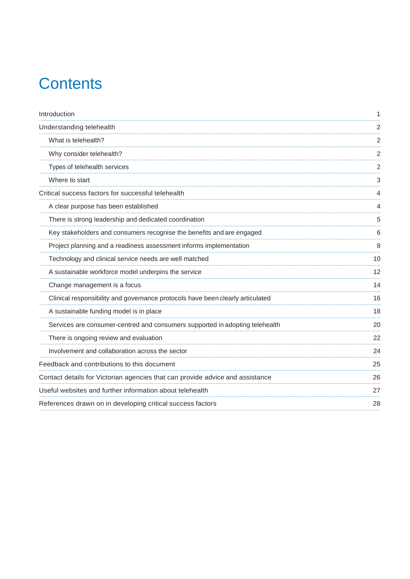# **Contents**

| Introduction                                                                   | 1  |
|--------------------------------------------------------------------------------|----|
| Understanding telehealth                                                       | 2  |
| What is telehealth?                                                            | 2  |
| Why consider telehealth?                                                       | 2  |
| Types of telehealth services                                                   | 2  |
| Where to start                                                                 | 3  |
| Critical success factors for successful telehealth                             | 4  |
| A clear purpose has been established                                           | 4  |
| There is strong leadership and dedicated coordination                          | 5  |
| Key stakeholders and consumers recognise the benefits and are engaged          | 6  |
| Project planning and a readiness assessment informs implementation             | 8  |
| Technology and clinical service needs are well matched                         | 10 |
| A sustainable workforce model underpins the service                            | 12 |
| Change management is a focus                                                   | 14 |
| Clinical responsibility and governance protocols have been clearly articulated | 16 |
| A sustainable funding model is in place                                        | 18 |
| Services are consumer-centred and consumers supported in adopting telehealth   | 20 |
| There is ongoing review and evaluation                                         | 22 |
| Involvement and collaboration across the sector                                | 24 |
| Feedback and contributions to this document                                    | 25 |
| Contact details for Victorian agencies that can provide advice and assistance  | 26 |
| Useful websites and further information about telehealth                       | 27 |
| References drawn on in developing critical success factors                     | 28 |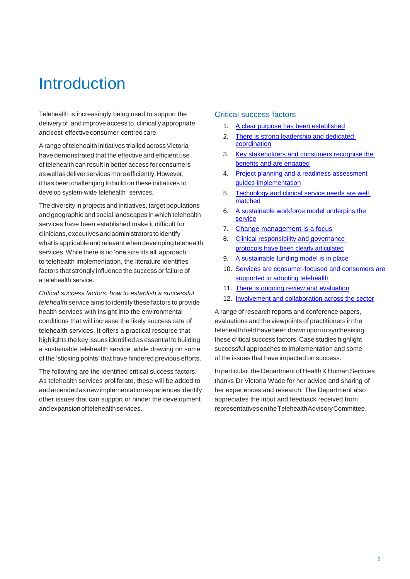## <span id="page-4-0"></span>**Introduction**

Telehealth is increasingly being used to support the delivery of, and improve access to, clinically appropriate and cost-effective consumer-centred care.

A range of telehealth initiatives trialled across Victoria have demonstrated that the effective and efficient use of telehealth can result in better access for consumers aswellasdeliverservicesmoreefficiently.However, it has been challenging to build on these initiatives to develop system-wide telehealth services.

The diversity in projects and initiatives, target populations and geographic and social landscapes in which telehealth services have been established make it difficult for clinicians,executivesandadministratorstoidentify what is applicable and relevant when developing telehealth services.While there is no 'one size fits all' approach to telehealth implementation, the literature identifies factors that strongly influence the success or failure of a telehealth service.

*Critical success factors: how to establish a successful telehealth* service aims to identify these factors to provide health services with insight into the environmental conditions that will increase the likely success rate of telehealth services. It offers a practical resource that highlights the key issues identified as essential to building a sustainable telehealth service, while drawing on some of the 'sticking points' that have hindered previous efforts.

The following are the identified critical success factors. As telehealth services proliferate, these will be added to and amended as newimplementation experiences identify other issues that can support or hinder the development andexpansionoftelehealthservices.

#### Critical success factors

- 1. [A clear purpose has been established](#page-7-2)
- 2. [There is strong leadership and dedicated](#page-8-0)  [coordination](#page-8-0)
- 3. [Key stakeholders and consumers recognise the](#page-9-0)  [benefits and are engaged](#page-9-0)
- 4. [Project planning and a readiness assessment](#page-11-0)  [guides implementation](#page-11-0)
- 5. [Technology and clinical service needs are well](#page-13-1)  [matched](#page-13-1)
- 6. [A sustainable workforce model underpins the](#page-15-1)  [service](#page-15-1)
- 7. [Change management is a focus](#page-17-1)
- 8. Clinical responsibility and governance protocols have [been clearly articulated](#page-19-0)
- 9. [A sustainable funding model is in place](#page-21-0)
- 10. [Services are consumer-focused and consumers are](#page-23-0)  [supported in adopting telehealth](#page-23-0)
- 11. [There is ongoing review and evaluation](#page-25-0)
- 12. [Involvement and collaboration across the sector](#page-27-0)

A range of research reports and conference papers, evaluations and the viewpoints of practitioners in the telehealth field have been drawn upon in synthesising these critical success factors. Case studies highlight successful approaches to implementation and some of the issues that have impacted on success.

In particular, the Department of Health & Human Services thanks Dr Victoria Wade for her advice and sharing of her experiences and research. The Department also appreciates the input and feedback received from representativesontheTelehealthAdvisoryCommittee.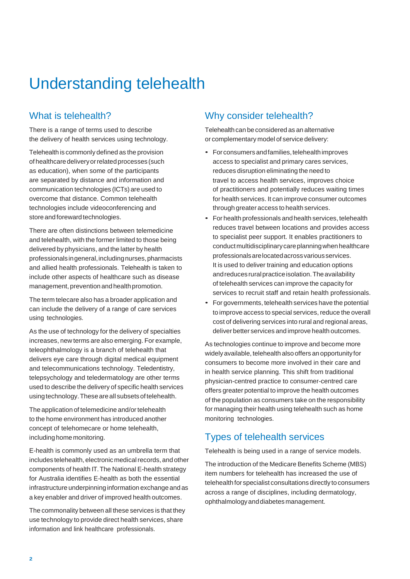## <span id="page-5-0"></span>Understanding telehealth

## <span id="page-5-1"></span>What is telehealth?

There is a range of terms used to describe the delivery of health services using technology.

Telehealth is commonly defined as the provision of healthcare delivery or related processes (such as education), when some of the participants are separated by distance and information and communication technologies (ICTs) are used to overcome that distance. Common telehealth technologies include videoconferencing and store and foreward technologies.

There are often distinctions between telemedicine and telehealth, with the former limited to those being delivered by physicians, and the latter by health professionalsingeneral,includingnurses,pharmacists and allied health professionals. Telehealth is taken to include other aspects of healthcare such as disease management, prevention and health promotion.

The term telecare also has a broader application and can include the delivery of a range of care services using technologies.

As the use of technology for the delivery of specialties increases, new terms are also emerging. For example, teleophthalmology is a branch of telehealth that delivers eye care through digital medical equipment and telecommunications technology. Teledentistry, telepsychology and teledermatology are other terms used to describe the delivery of specific health services usingtechnology.Theseareall subsetsof telehealth.

The application of telemedicine and/or telehealth to the home environment has introduced another concept of telehomecare or home telehealth, including home monitoring.

E-health is commonly used as an umbrella term that includes telehealth, electronic medical records, and other components of health IT.The National E-health strategy for Australia identifies E-health as both the essential infrastructure underpinninginformation exchange and as a key enabler and driver of improved health outcomes.

<span id="page-5-2"></span>The commonality between all these services is that they use technology to provide direct health services, share information and link healthcare professionals.

## Why consider telehealth?

Telehealth can be considered as an alternative or complementary model of service delivery:

- For consumers and families, telehealth improves access to specialist and primary cares services, reduces disruption eliminating the need to travel to access health services, improves choice of practitioners and potentially reduces waiting times for health services. It can improve consumer outcomes through greater access to health services.
- For health professionals and health services, telehealth reduces travel between locations and provides access to specialist peer support. It enables practitioners to conductmultidisciplinarycareplanningwhenhealthcare professionalsarelocatedacrossvariousservices. It is used to deliver training and education options and reduces rural practice isolation. The availability of telehealth services can improve the capacity for services to recruit staff and retain health professionals.
- For governments, telehealth services have the potential to improve access to special services, reduce the overall cost of delivering services into rural and regional areas, deliver better services and improve health outcomes.

As technologies continue to improve and become more widelyavailable, telehealth also offers an opportunity for consumers to become more involved in their care and in health service planning. This shift from traditional physician-centred practice to consumer-centred care offers greater potential to improve the health outcomes of the population as consumers take on the responsibility for managing their health using telehealth such as home monitoring technologies.

## <span id="page-5-3"></span>Types of telehealth services

Telehealth is being used in a range of service models.

The introduction of the Medicare Benefits Scheme (MBS) item numbers for telehealth has increased the use of telehealth for specialist consultations directly to consumers across a range of disciplines, including dermatology, ophthalmologyanddiabetes management.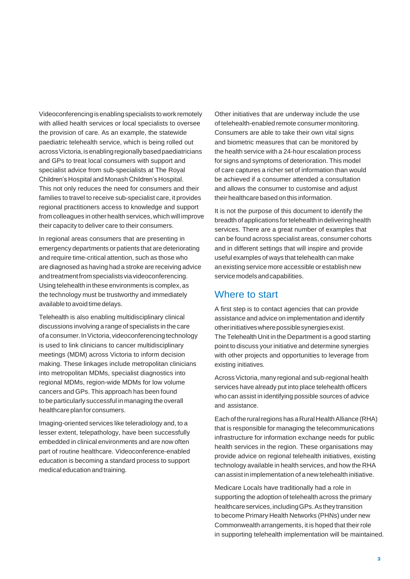Videoconferencingisenablingspecialists towork remotely with allied health services or local specialists to oversee the provision of care. As an example, the statewide paediatric telehealth service, which is being rolled out across Victoria, is enabling regionally based paediatricians and GPs to treat local consumers with support and specialist advice from sub-specialists at The Royal Children's Hospital and Monash Children's Hospital. This not only reduces the need for consumers and their families to travel to receive sub-specialist care, it provides regional practitioners access to knowledge and support from colleagues in other health services, which will improve their capacity to deliver care to their consumers.

In regional areas consumers that are presenting in emergency departments or patients that are deteriorating and require time-critical attention, such as those who are diagnosed as having had a stroke are receiving advice andtreatmentfromspecialistsviavideoconferencing. Using telehealth in these environments is complex, as the technology must be trustworthy and immediately available to avoid time delays.

Telehealth is also enabling multidisciplinary clinical discussions involving a range of specialists in the care of a consumer. In Victoria, videoconferencing technology is used to link clinicians to cancer multidisciplinary meetings (MDM) across Victoria to inform decision making. These linkages include metropolitan clinicians into metropolitan MDMs, specialist diagnostics into regional MDMs, region-wide MDMs for low volume cancers and GPs. This approach has been found to be particularly successful in managing the overall healthcare plan for consumers.

Imaging-oriented services like teleradiology and, to a lesser extent, telepathology, have been successfully embedded in clinical environments and are now often part of routine healthcare. Videoconference-enabled education is becoming a standard process to support medical education and training.

Other initiatives that are underway include the use of telehealth-enabled remote consumer monitoring. Consumers are able to take their own vital signs and biometric measures that can be monitored by the health service with a 24-hour escalation process for signs and symptoms of deterioration. This model of care captures a richer set of information than would be achieved if a consumer attended a consultation and allows the consumer to customise and adjust their healthcare based on this information.

It is not the purpose of this document to identify the breadth of applications fortelehealth in delivering health services. There are a great number of examples that can be found across specialist areas, consumer cohorts and in different settings that will inspire and provide useful examples of ways that telehealth can make an existing service more accessible or establish new servicemodelsandcapabilities.

## <span id="page-6-0"></span>Where to start

A first step is to contact agencies that can provide assistance and advice on implementation and identify otherinitiativeswherepossiblesynergiesexist. The Telehealth Unit in the Department is a good starting point to discuss your initiative and determine synergies with other projects and opportunities to leverage from existing initiatives.

AcrossVictoria, many regional and sub-regional health services have already put into place telehealth officers who can assist in identifying possible sources of advice and assistance.

Each of the rural regions has a Rural Health Alliance (RHA) that is responsible for managing the telecommunications infrastructure for information exchange needs for public health services in the region. These organisations may provide advice on regional telehealth initiatives, existing technology available in health services, and how the RHA can assist in implementation of a new telehealth initiative.

Medicare Locals have traditionally had a role in supporting the adoption of telehealth across the primary healthcareservices,includingGPs.Astheytransition to become Primary Health Networks (PHNs) under new Commonwealth arrangements, it is hoped that their role in supporting telehealth implementation will be maintained.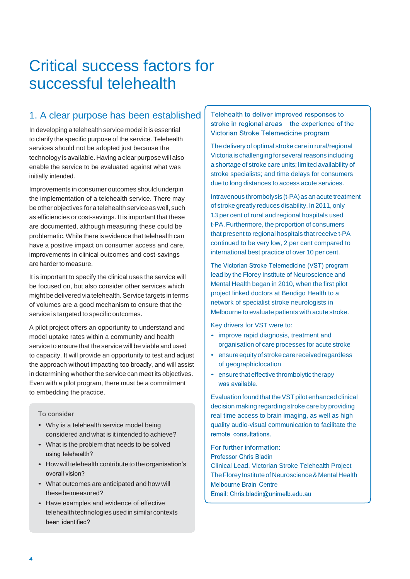## <span id="page-7-2"></span><span id="page-7-0"></span>Critical success factors for successful telehealth

## <span id="page-7-1"></span>1. A clear purpose has been established

In developing a telehealth service model it is essential to clarify the specific purpose of the service. Telehealth services should not be adopted just because the technology is available. Having a clear purpose will also enable the service to be evaluated against what was initially intended.

Improvements in consumer outcomes should underpin the implementation of a telehealth service. There may be other objectives for a telehealth service as well, such as efficiencies or cost-savings. It is important that these are documented, although measuring these could be problematic.While there is evidence that telehealth can have a positive impact on consumer access and care, improvements in clinical outcomes and cost-savings are harderto measure.

It is important to specify the clinical uses the service will be focused on, but also consider other services which might be delivered via telehealth.Service targets in terms of volumes are a good mechanism to ensure that the service is targeted to specific outcomes.

A pilot project offers an opportunity to understand and model uptake rates within a community and health service to ensure that the service will be viable and used to capacity. It will provide an opportunity to test and adjust the approach without impacting too broadly, and will assist in determining whether the service can meet its objectives. Even with a pilot program, there must be a commitment to embedding thepractice.

#### To consider

- Why is a telehealth service model being considered and what is it intended to achieve?
- What is the problem that needs to be solved using telehealth?
- How will telehealth contribute to the organisation's overall vision?
- What outcomes are anticipated and how will thesebemeasured?
- Have examples and evidence of effective telehealth technologies used in similar contexts been identified?

Telehealth to deliver improved responses to stroke in regional areas - the experience of the Victorian Stroke Telemedicine program

The delivery of optimal stroke care in rural/regional Victoria is challenging for several reasons including a shortage of stroke care units; limited availability of stroke specialists; and time delays for consumers due to long distances to access acute services.

Intravenous thrombolysis (t-PA) as an acute treatment of stroke greatly reduces disability. In 2011, only 13 per cent of rural and regional hospitals used t-PA. Furthermore, the proportion of consumers that present to regional hospitals that receive t-PA continued to be very low, 2 per cent compared to international best practice of over 10 per cent.

The Victorian Stroke Telemedicine (VST) program lead by the Florey Institute of Neuroscience and Mental Health began in 2010, when the first pilot project linked doctors at Bendigo Health to a network of specialist stroke neurologists in Melbourne to evaluate patients with acute stroke.

Key drivers for VST were to:

- improve rapid diagnosis, treatment and organisation of care processes for acute stroke
- ensure equity of stroke care received regardless of geographiclocation
- ensure that effective thrombolytic therapy was available.

Evaluation found that the VST pilot enhanced clinical decision making regarding stroke care by providing real time access to brain imaging, as well as high quality audio-visual communication to facilitate the remote consultations.

For further information:

**Professor Chris Bladin** 

Clinical Lead, Victorian Stroke Telehealth Project The Florey Institute of Neuroscience & Mental Health **Melbourne Brain Centre** Email: Chris.bladin@unimelb.edu.au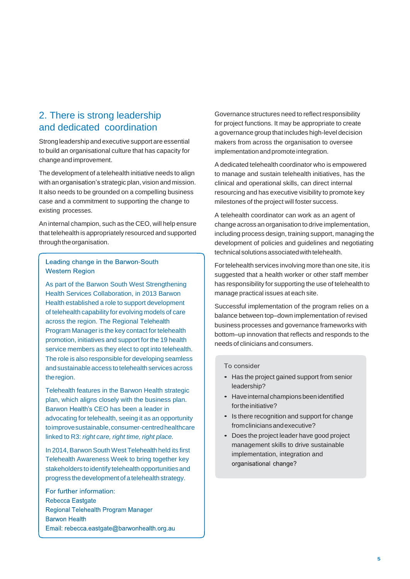## <span id="page-8-0"></span>2. There is strong leadership and dedicated coordination

Strong leadership and executive support are essential to build an organisational culture that has capacity for changeandimprovement.

The development of a telehealth initiative needs to align with an organisation's strategic plan, vision and mission. It also needs to be grounded on a compelling business case and a commitment to supporting the change to existing processes.

An internal champion, such as the CEO, will help ensure that telehealth is appropriately resourced and supported through the organisation.

### Leading change in the Barwon-South **Western Region**

As part of the Barwon South West Strengthening Health Services Collaboration, in 2013 Barwon Health established a role to support development of telehealth capability for evolving models of care across the region. The Regional Telehealth Program Manager is the key contact for telehealth promotion, initiatives and support for the 19 health service members as they elect to opt into telehealth. The role is also responsible for developing seamless and sustainable access to telehealth services across theregion.

Telehealth features in the Barwon Health strategic plan, which aligns closely with the business plan. Barwon Health's CEO has been a leader in advocating for telehealth, seeing it as an opportunity toimprove sustainable, consumer-centred healthcare linked to R3: *right care, right time, right place.*

In 2014, Barwon South West Telehealth held its first Telehealth Awareness Week to bring together key stakeholders to identify telehealth opportunities and progress the development of a telehealth strategy.

For further information: Rebecca Eastgate Regional Telehealth Program Manager **Barwon Health** Email: rebecca.eastgate@barwonhealth.org.au Governance structures need to reflect responsibility for project functions. It may be appropriate to create a governance group that includes high-level decision makers from across the organisation to oversee implementation and promote integration.

A dedicated telehealth coordinator who is empowered to manage and sustain telehealth initiatives, has the clinical and operational skills, can direct internal resourcing and has executive visibility to promote key milestones of the project will foster success.

A telehealth coordinator can work as an agent of change across an organisation to drive implementation, including process design, training support, managing the development of policies and guidelines and negotiating technical solutions associated with telehealth.

Fortelehealth services involving more than one site, it is suggested that a health worker or other staff member has responsibility for supporting the use of telehealth to manage practical issues at each site.

Successful implementation of the program relies on a balance between top–down implementation of revised business processes and governance frameworks with bottom–up innovation that reflects and responds to the needs of clinicians and consumers.

- Has the project gained support from senior leadership?
- Have internal champions been identified for the initiative?
- Is there recognition and support for change fromcliniciansandexecutive?
- Does the project leader have good project management skills to drive sustainable implementation, integration and organisational change?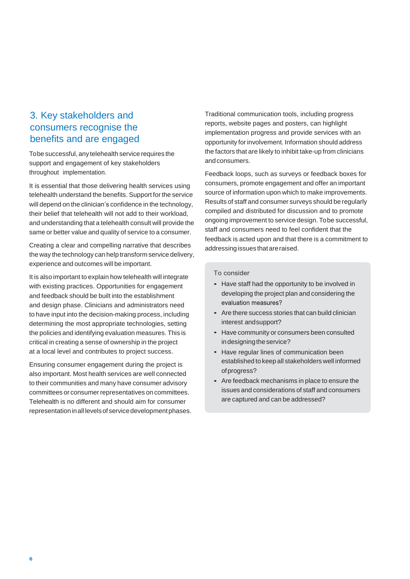## <span id="page-9-0"></span>3. Key stakeholders and consumers recognise the benefits and are engaged

Tobe successful, any telehealth service requires the support and engagement of key stakeholders throughout implementation.

It is essential that those delivering health services using telehealth understand the benefits. Support for the service will depend on the clinician's confidence in the technology, their belief that telehealth will not add to their workload, and understanding that a telehealth consult will provide the same or better value and quality of service to a consumer.

Creating a clear and compelling narrative that describes the way the technology can help transform service delivery, experience and outcomes will be important.

It is also important to explain how telehealth will integrate with existing practices. Opportunities for engagement and feedback should be built into the establishment and design phase. Clinicians and administrators need to have input into the decision-making process, including determining the most appropriate technologies, setting the policies and identifying evaluation measures. This is critical in creating a sense of ownership in the project at a local level and contributes to project success.

Ensuring consumer engagement during the project is also important. Most health services are well connected to their communities and many have consumer advisory committees or consumer representatives on committees. Telehealth is no different and should aim for consumer representation in all levels of service development phases. Traditional communication tools, including progress reports, website pages and posters, can highlight implementation progress and provide services with an opportunity for involvement. Information should address the factors that are likely to inhibit take-up from clinicians andconsumers.

Feedback loops, such as surveys or feedback boxes for consumers, promote engagement and offer an important source of information upon which to make improvements. Results of staff and consumer surveys should be regularly compiled and distributed for discussion and to promote ongoing improvement to service design. Tobe successful, staff and consumers need to feel confident that the feedback is acted upon and that there is a commitment to addressing issues that are raised.

- Have staff had the opportunity to be involved in developing the project plan and considering the evaluation measures?
- Are there success stories that can build clinician interest andsupport?
- Have community or consumers been consulted in designing the service?
- Have regular lines of communication been established to keep all stakeholders well informed ofprogress?
- Are feedback mechanisms in place to ensure the issues and considerations of staff and consumers are captured and can be addressed?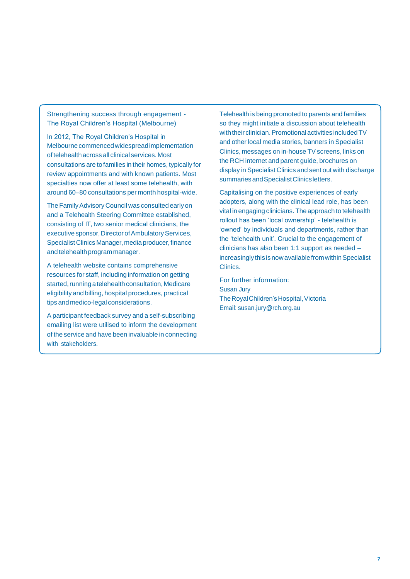Strengthening success through engagement - The Royal Children's Hospital (Melbourne)

In 2012, The Royal Children's Hospital in Melbourne commenced widespread implementation of telehealth across all clinical services. Most consultations are to families in their homes, typically for review appointments and with known patients. Most specialties now offer at least some telehealth, with around 60–80 consultations per month hospital-wide.

The Family Advisory Council was consulted early on and a Telehealth Steering Committee established, consisting of IT, two senior medical clinicians, the executive sponsor, Director of Ambulatory Services, Specialist Clinics Manager, media producer, finance and telehealth program manager.

A telehealth website contains comprehensive resources for staff, including information on getting started, running a telehealth consultation, Medicare eligibility and billing, hospital procedures, practical tips and medico-legal considerations.

A participant feedback survey and a self-subscribing emailing list were utilised to inform the development of the service and have been invaluable in connecting with stakeholders.

Telehealth is being promoted to parents and families so they might initiate a discussion about telehealth with their clinician. Promotional activities included TV and other local media stories, banners in Specialist Clinics, messages on in-house TV screens, links on the RCH internet and parent guide, brochures on display in Specialist Clinics and sent out with discharge summaries and Specialist Clinics letters.

Capitalising on the positive experiences of early adopters, along with the clinical lead role, has been vital in engaging clinicians. The approach to telehealth rollout has been 'local ownership' - telehealth is 'owned' by individuals and departments, rather than the 'telehealth unit'. Crucial to the engagement of clinicians has also been 1:1 support as needed – increasingly this is now available from within Specialist Clinics.

For further information: Susan Jury The Royal Children's Hospital, Victoria Email: [susan.jury@rch.org.au](mailto:susan.jury@rch.org.au)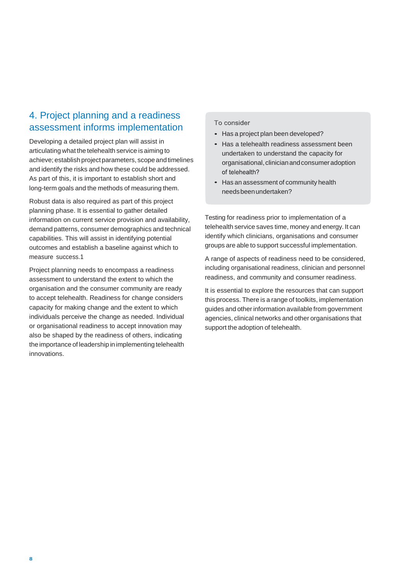## <span id="page-11-0"></span>4. Project planning and a readiness assessment informs implementation

Developing a detailed project plan will assist in articulating what the telehealth service is aiming to achieve; establish project parameters, scope and timelines and identify the risks and how these could be addressed. As part of this, it is important to establish short and long-term goals and the methods of measuring them.

Robust data is also required as part of this project planning phase. It is essential to gather detailed information on current service provision and availability, demand patterns, consumer demographics and technical capabilities. This will assist in identifying potential outcomes and establish a baseline against which to measure success.1

Project planning needs to encompass a readiness assessment to understand the extent to which the organisation and the consumer community are ready to accept telehealth. Readiness for change considers capacity for making change and the extent to which individuals perceive the change as needed. Individual or organisational readiness to accept innovation may also be shaped by the readiness of others, indicating the importance of leadership in implementing telehealth innovations.

#### To consider

- Has a project plan been developed?
- Has a telehealth readiness assessment been undertaken to understand the capacity for organisational, clinician and consumer adoption of telehealth?
- Has an assessment of community health needsbeenundertaken?

Testing for readiness prior to implementation of a telehealth service saves time, money and energy. It can identify which clinicians, organisations and consumer groups are able to support successful implementation.

A range of aspects of readiness need to be considered, including organisational readiness, clinician and personnel readiness, and community and consumer readiness.

It is essential to explore the resources that can support this process. There is a range of toolkits, implementation guides and otherinformation available from government agencies, clinical networks and other organisations that support the adoption of telehealth.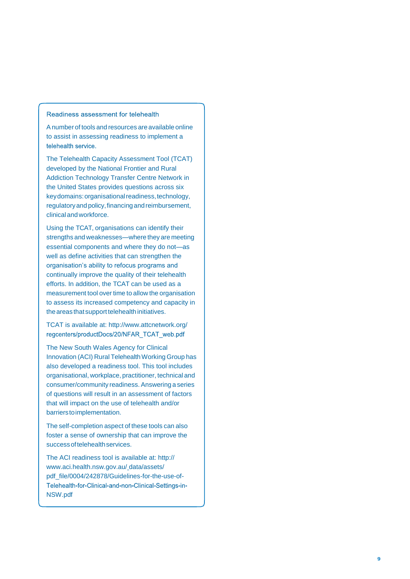#### Readiness assessment for telehealth

Anumber of tools and resources are available online to assist in assessing readiness to implement a telehealth service.

The Telehealth Capacity Assessment Tool (TCAT) developed by the National Frontier and Rural Addiction Technology Transfer Centre Network in the United States provides questions across six keydomains: organisationalreadiness,technology, regulatory and policy, financing and reimbursement, clinicalandworkforce.

Using the TCAT, organisations can identify their strengths and weaknesses —where they are meeting essential components and where they do not —as well as define activities that can strengthen the organisation's ability to refocus programs and continually improve the quality of their telehealth efforts. In addition, the TCAT can be used as a measurement tool over time to allow the organisation to assess its increased competency and capacity in the areas that support telehealth initiatives.

TCAT is available at[: http://www.attcnetwork.org/](http://www.attcnetwork.org/) regcenters/productDocs/20/NFAR\_TCAT\_web.pdf

The New South Wales Agency for Clinical Innovation (ACI) Rural Telehealth Working Group has also developed a readiness tool. This tool includes organisational, workplace, practitioner, technical and consumer/community readiness.Answering a series of questions will result in an assessment of factors that will impact on the use of telehealth and/or barrierstoimplementation.

The self -completion aspect of these tools can also foster a sense of ownership that can improve the successoftelehealthservices.

The ACI readiness tool is available at: http:// [www.aci.health.nsw.gov.au/](http://www.aci.health.nsw.gov.au/) data/assets/ pdf\_file/0004/242878/Guidelines-for-the-use-of-Telehealth-for-Clinical-and-non-Clinical-Settings-in-NSW.pdf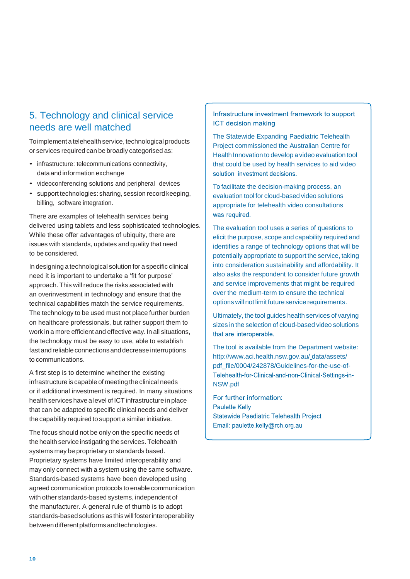## <span id="page-13-1"></span><span id="page-13-0"></span>5. Technology and clinical service needs are well matched

Toimplement a telehealth service, technological products or services required can be broadly categorised as:

- infrastructure: telecommunications connectivity, data and information exchange
- videoconferencing solutions and peripheral devices
- support technologies: sharing, session record keeping, billing, software integration.

There are examples of telehealth services being delivered using tablets and less sophisticated technologies. While these offer advantages of ubiquity, there are issues with standards, updates and quality that need to be considered.

In designing a technological solution for a specific clinical need it is important to undertake a 'fit for purpose' approach. This will reduce the risks associated with an overinvestment in technology and ensure that the technical capabilities match the service requirements. The technology to be used must not place further burden on healthcare professionals, but rather support them to work in a more efficient and effective way. In all situations, the technology must be easy to use, able to establish fast and reliable connections and decrease interruptions to communications.

A first step is to determine whether the existing infrastructure is capable of meeting the clinical needs or if additional investment is required. In many situations health services have a level of ICT infrastructure in place that can be adapted to specific clinical needs and deliver the capability required to support a similar initiative.

The focus should not be only on the specific needs of the health service instigating the services. Telehealth systems may be proprietary or standards based. Proprietary systems have limited interoperability and may only connect with a system using the same software. Standards-based systems have been developed using agreed communication protocols to enable communication with other standards-based systems, independent of the manufacturer. A general rule of thumb is to adopt standards-based solutions as this willfosterinteroperability between different platforms and technologies.

Infrastructure investment framework to support **ICT decision making** 

The Statewide Expanding Paediatric Telehealth Project commissioned the Australian Centre for Health Innovation to develop a video evaluation tool that could be used by health services to aid video solution investment decisions.

To facilitate the decision-making process, an evaluation tool for cloud-based video solutions appropriate for telehealth video consultations was required.

The evaluation tool uses a series of questions to elicit the purpose, scope and capability required and identifies a range of technology options that will be potentially appropriate to support the service, taking into consideration sustainability and affordability. It also asks the respondent to consider future growth and service improvements that might be required over the medium-term to ensure the technical options will not limit future service requirements.

Ultimately, the tool guides health services of varying sizes in the selection of cloud-based video solutions that are interoperable.

The tool is available from the Department website: <http://www.aci.health.nsw.gov.au/> data/assets/ pdf\_file/0004/242878/Guidelines-for-the-use-of-Telehealth-for-Clinical-and-non-Clinical-Settings-in-NSW.pdf

For further information: **Paulette Kelly Statewide Paediatric Telehealth Project** Email: paulette.kelly@rch.org.au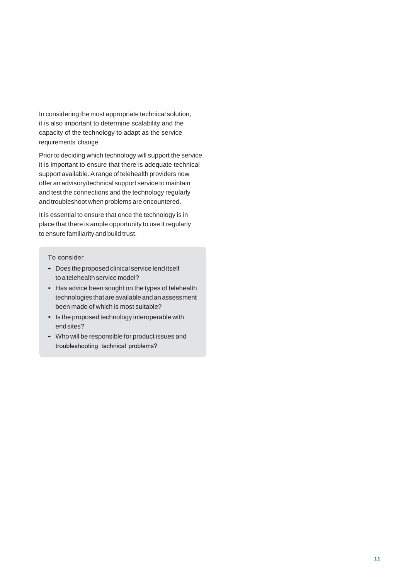In considering the most appropriate technical solution, it is also important to determine scalability and the capacity of the technology to adapt as the service requirements change.

Prior to deciding which technology will support the service, it is important to ensure that there is adequate technical support available. A range of telehealth providers now offer an advisory/technical support service to maintain and test the connections and the technology regularly and troubleshoot when problems are encountered.

It is essential to ensure that once the technology is in place that there is ample opportunity to use it regularly to ensure familiarity and build trust.

- Does the proposed clinical service lend itself to a telehealth service model?
- Has advice been sought on the types of telehealth technologies that are available and an assessment been made of which is most suitable?
- Is the proposed technology interoperable with endsites?
- Who will be responsible for product issues and troubleshooting technical problems?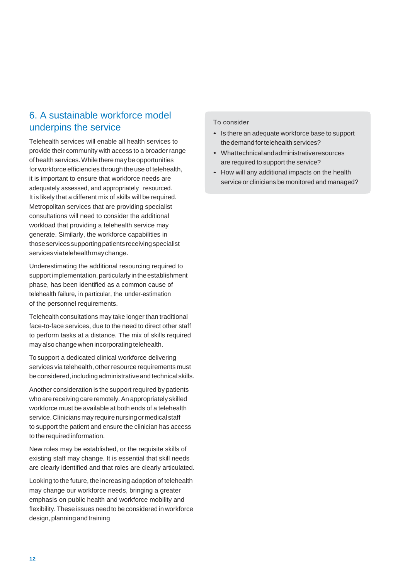## <span id="page-15-1"></span><span id="page-15-0"></span>6. A sustainable workforce model underpins the service

Telehealth services will enable all health services to provide their community with access to a broader range of health services.While there may be opportunities for workforce efficiencies through the use of telehealth, it is important to ensure that workforce needs are adequately assessed, and appropriately resourced. It is likely that a different mix of skills will be required. Metropolitan services that are providing specialist consultations will need to consider the additional workload that providing a telehealth service may generate. Similarly, the workforce capabilities in thoseservicessupportingpatients receivingspecialist servicesviatelehealthmaychange.

Underestimating the additional resourcing required to support implementation, particularly in the establishment phase, has been identified as a common cause of telehealth failure, in particular, the under-estimation of the personnel requirements.

Telehealth consultations may take longer than traditional face-to-face services, due to the need to direct other staff to perform tasks at a distance. The mix of skills required mayalso changewhen incorporating telehealth.

To support a dedicated clinical workforce delivering services via telehealth, other resource requirements must be considered, including administrative and technical skills.

Another consideration is the support required by patients who are receiving care remotely.An appropriately skilled workforce must be available at both ends of a telehealth service. Clinicians may require nursing or medical staff to support the patient and ensure the clinician has access to the required information.

New roles may be established, or the requisite skills of existing staff may change. It is essential that skill needs are clearly identified and that roles are clearly articulated.

Looking to the future, the increasing adoption of telehealth may change our workforce needs, bringing a greater emphasis on public health and workforce mobility and flexibility. These issues need to be considered in workforce design, planning and training

- Is there an adequate workforce base to support the demand for telehealth services?
- Whattechnicalandadministrativeresources are required to support the service?
- How will any additional impacts on the health service or clinicians be monitored and managed?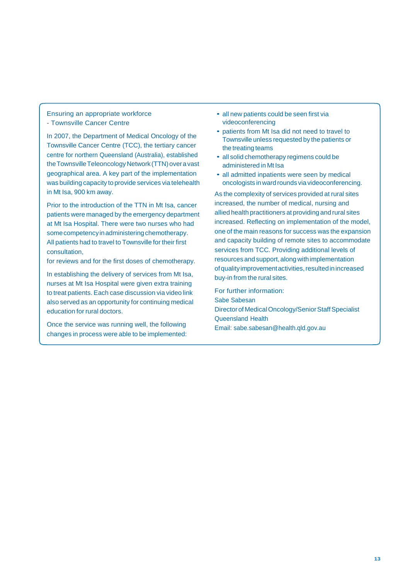Ensuring an appropriate workforce - Townsville Cancer Centre

In 2007, the Department of Medical Oncology of the Townsville Cancer Centre (TCC), the tertiary cancer centre for northern Queensland (Australia), established the Townsville Teleoncology Network (TTN) over a vast geographical area. A key part of the implementation was building capacity to provide services via telehealth in Mt Isa, 900 km away.

Prior to the introduction of the TTN in Mt Isa, cancer patients were managed by the emergency department at Mt Isa Hospital. There were two nurses who had some competency in administering chemotherapy. All patients had to travel to Townsville for their first consultation,

for reviews and for the first doses of chemotherapy.

In establishing the delivery of services from Mt Isa, nurses at Mt Isa Hospital were given extra training to treat patients. Each case discussion via video link also served as an opportunity for continuing medical education for rural doctors.

Once the service was running well, the following changes in process were able to be implemented:

- all new patients could be seen first via videoconferencing
- patients from Mt Isa did not need to travel to Townsville unless requested by the patients or the treating teams
- all solid chemotherapy regimens could be administered in Mt Isa
- all admitted inpatients were seen by medical oncologists inward rounds via videoconferencing.

As the complexity of services provided at rural sites increased, the number of medical, nursing and allied health practitioners at providing and rural sites increased. Reflecting on implementation of the model, one of the main reasons for success was the expansion and capacity building of remote sites to accommodate services from TCC. Providing additional levels of resources and support, along with implementation of quality improvement activities, resulted in increased buy-in from the rural sites.

For further information: Sabe Sabesan Director of Medical Oncology/Senior Staff Specialist Queensland Health Email: [sabe.sabesan@health.qld.gov.au](mailto:sabe.sabesan@health.qld.gov.au)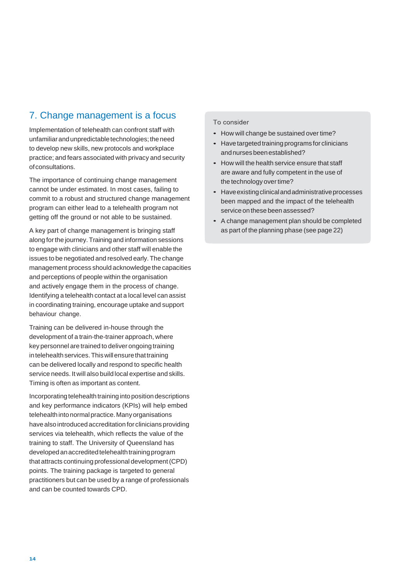## <span id="page-17-1"></span><span id="page-17-0"></span>7. Change management is a focus

Implementation of telehealth can confront staff with unfamiliar and unpredictable technologies; the need to develop new skills, new protocols and workplace practice; and fears associated with privacy and security ofconsultations.

The importance of continuing change management cannot be under estimated. In most cases, failing to commit to a robust and structured change management program can either lead to a telehealth program not getting off the ground or not able to be sustained.

A key part of change management is bringing staff along forthe journey.Trainingand information sessions to engage with clinicians and other staff will enable the issues to be negotiated and resolved early. The change management process should acknowledge the capacities and perceptions of people within the organisation and actively engage them in the process of change. Identifying a telehealth contact at a local level can assist in coordinating training, encourage uptake and support behaviour change.

Training can be delivered in-house through the development of a train-the-trainer approach, where key personnel are trained to deliver ongoing training in telehealth services. This will ensure that training can be delivered locally and respond to specific health service needs. It will also build local expertise and skills. Timing is often as important as content.

Incorporating telehealth training into position descriptions and key performance indicators (KPIs) will help embed telehealth into normal practice. Many organisations have also introduced accreditation for clinicians providing services via telehealth, which reflects the value of the training to staff. The University of Queensland has developed an accredited telehealth training program that attracts continuing professional development(CPD) points. The training package is targeted to general practitioners but can be used by a range of professionals and can be counted towards CPD.

- How will change be sustained over time?
- $\bullet$ Have targeted training programs for clinicians andnursesbeenestablished?
- How will the health service ensure that staff are aware and fully competent in the use of the technology over time?
- Have existing clinical and administrative processes been mapped and the impact of the telehealth service on these been assessed?
- A change management plan should be completed as part of the planning phase (see page 22)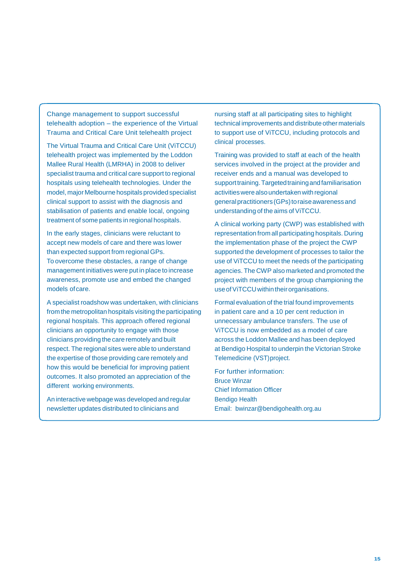Change management to support successful telehealth adoption – the experience of the Virtual Trauma and Critical Care Unit telehealth project

The Virtual Trauma and Critical Care Unit (ViTCCU) telehealth project was implemented by the Loddon Mallee Rural Health (LMRHA) in 2008 to deliver specialist trauma and critical care support to regional hospitals using telehealth technologies. Under the model, major Melbourne hospitals provided specialist clinical support to assist with the diagnosis and stabilisation of patients and enable local, ongoing treatment of some patients in regional hospitals.

In the early stages, clinicians were reluctant to accept new models of care and there was lower than expected support from regional GPs. To overcome these obstacles, a range of change management initiatives were put in place to increase awareness, promote use and embed the changed models ofcare.

A specialist roadshow was undertaken, with clinicians from the metropolitan hospitals visiting the participating regional hospitals. This approach offered regional clinicians an opportunity to engage with those clinicians providing the care remotely and built respect. The regional sites were able to understand the expertise of those providing care remotely and how this would be beneficial for improving patient outcomes. It also promoted an appreciation of the different working environments.

An interactive webpage was developed and regular newsletter updates distributed to clinicians and

nursing staff at all participating sites to highlight technical improvements and distribute othermaterials to support use of ViTCCU, including protocols and clinical processes.

Training was provided to staff at each of the health services involved in the project at the provider and receiver ends and a manual was developed to supporttraining.Targetedtrainingandfamiliarisation activities were also undertaken with regional general practitioners (GPs) to raise awareness and understanding of the aims of ViTCCU.

A clinical working party (CWP) was established with representation from all participating hospitals. During the implementation phase of the project the CWP supported the development of processes to tailor the use of ViTCCU to meet the needs of the participating agencies. The CWP also marketed and promoted the project with members of the group championing the use of ViTCCU within their organisations.

Formal evaluation of the trial found improvements in patient care and a 10 per cent reduction in unnecessary ambulance transfers. The use of ViTCCU is now embedded as a model of care across the Loddon Mallee and has been deployed at Bendigo Hospital to underpin the Victorian Stroke Telemedicine (VST)project.

For further information: Bruce Winzar Chief Information Officer Bendigo Health Email: [bwinzar@bendigohealth.org.au](mailto:bwinzar@bendigohealth.org.au)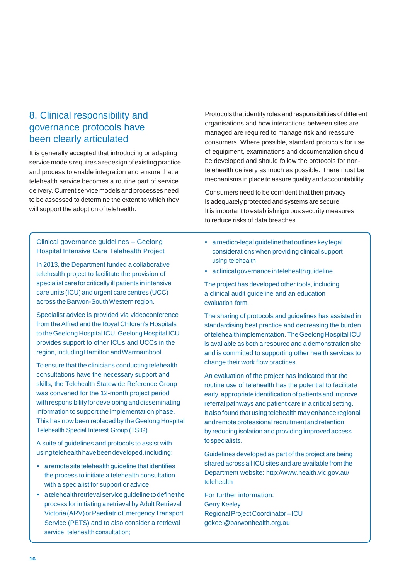## <span id="page-19-0"></span>8. Clinical responsibility and governance protocols have been clearly articulated

It is generally accepted that introducing or adapting service models requires a redesign of existing practice and process to enable integration and ensure that a telehealth service becomes a routine part of service delivery. Current service models and processes need to be assessed to determine the extent to which they will support the adoption of telehealth.

Protocols that identify roles and responsibilities of different organisations and how interactions between sites are managed are required to manage risk and reassure consumers. Where possible, standard protocols for use of equipment, examinations and documentation should be developed and should follow the protocols for nontelehealth delivery as much as possible. There must be mechanisms in place to assure quality and accountability.

Consumers need to be confident that their privacy is adequately protected and systems are secure. It is important to establish rigorous security measures to reduce risks of data breaches.

Clinical governance guidelines – Geelong Hospital Intensive Care Telehealth Project

In 2013, the Department funded a collaborative telehealth project to facilitate the provision of specialist carefor critically ill patients inintensive care units (ICU) and urgent care centres (UCC) across the Barwon-South Western region.

Specialist advice is provided via videoconference from the Alfred and the Royal Children's Hospitals to the Geelong Hospital ICU. Geelong Hospital ICU provides support to other ICUs and UCCs in the region, including Hamilton and Warrnambool.

Toensure that the clinicians conducting telehealth consultations have the necessary support and skills, the Telehealth Statewide Reference Group was convened for the 12-month project period with responsibility for developing and disseminating information to support the implementation phase. This has now been replaced by the Geelong Hospital Telehealth Special Interest Group (TSIG).

A suite of guidelines and protocols to assist with using telehealth have been developed, including:

- a remote site telehealth guideline that identifies the process to initiate a telehealth consultation with a specialist for support or advice
- a telehealth retrieval service guideline to define the process for initiating a retrieval by Adult Retrieval Victoria(ARV)orPaediatricEmergencyTransport Service (PETS) and to also consider a retrieval service telehealth consultation;
- a medico-legal guideline that outlines key legal considerations when providing clinical support using telehealth
- aclinicalgovernanceintelehealthguideline.

The project has developed other tools, including a clinical audit guideline and an education evaluation form.

The sharing of protocols and guidelines has assisted in standardising best practice and decreasing the burden of telehealth implementation. The Geelong Hospital ICU is available as both a resource and a demonstration site and is committed to supporting other health services to change their work flow practices.

An evaluation of the project has indicated that the routine use of telehealth has the potential to facilitate early, appropriate identification of patients and improve referral pathways and patient care in a critical setting. It also found that using telehealth may enhance regional and remote professional recruitment and retention by reducing isolation and providing improved access tospecialists.

Guidelines developed as part of the project are being shared across all ICU sites and are available from the Department website[: http://www.health.vic.gov.au/](http://www.health.vic.gov.au/) telehealth

For further information: Gerry Keeley Regional Project Coordinator-ICU [gekeel@barwonhealth.org.au](mailto:gekeel@barwonhealth.org.au)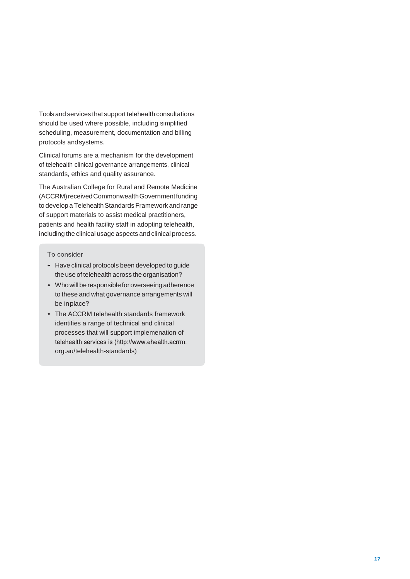Toolsand services that support telehealth consultations should be used where possible, including simplified scheduling, measurement, documentation and billing protocols andsystems.

Clinical forums are a mechanism for the development of telehealth clinical governance arrangements, clinical standards, ethics and quality assurance.

The Australian College for Rural and Remote Medicine (ACCRM) received Commonwealth Government funding to develop a Telehealth Standards Framework and range of support materials to assist medical practitioners, patients and health facility staff in adopting telehealth, including the clinical usage aspects and clinical process.

- Have clinical protocols been developed to guide the use of telehealth across the organisation?
- Who will be responsible for overseeing adherence to these and what governance arrangements will be inplace?
- The ACCRM telehealth standards framework identifies a range of technical and clinical processes that will support implemenation of telehealth services is (http://www.ehealth.acrrm. org.au/telehealth-standards)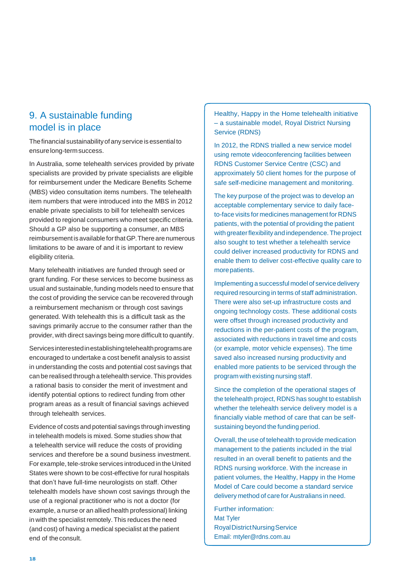## <span id="page-21-0"></span>9. A sustainable funding model is in place

The financial sustainability of any service is essential to ensurelong-termsuccess.

In Australia, some telehealth services provided by private specialists are provided by private specialists are eligible for reimbursement under the Medicare Benefits Scheme (MBS) video consultation items numbers. The telehealth item numbers that were introduced into the MBS in 2012 enable private specialists to bill for telehealth services provided to regional consumers who meet specific criteria. Should a GP also be supporting a consumer, an MBS reimbursement is available for that GP. There are numerous limitations to be aware of and it is important to review eligibility criteria.

Many telehealth initiatives are funded through seed or grant funding. For these services to become business as usual and sustainable, funding models need to ensure that the cost of providing the service can be recovered through a reimbursement mechanism or through cost savings generated. With telehealth this is a difficult task as the savings primarily accrue to the consumer rather than the provider, with direct savings being more difficult to quantify.

Services interested in establishing telehealth programs are encouraged to undertake a cost benefit analysis to assist in understanding the costs and potential cost savings that can be realised through a telehealth service. This provides a rational basis to consider the merit of investment and identify potential options to redirect funding from other program areas as a result of financial savings achieved through telehealth services.

Evidence of costs and potential savings through investing in telehealth models is mixed. Some studies show that a telehealth service will reduce the costs of providing services and therefore be a sound business investment. For example, tele-stroke services introduced in the United States were shown to be cost-effective for rural hospitals that don't have full-time neurologists on staff. Other telehealth models have shown cost savings through the use of a regional practitioner who is not a doctor (for example, a nurse or an allied health professional) linking in with the specialist remotely. This reduces the need (and cost) of having a medical specialist at the patient end of theconsult.

Healthy, Happy in the Home telehealth initiative – a sustainable model, Royal District Nursing Service (RDNS)

In 2012, the RDNS trialled a new service model using remote videoconferencing facilities between RDNS Customer Service Centre (CSC) and approximately 50 client homes for the purpose of safe self-medicine management and monitoring.

The key purpose of the project was to develop an acceptable complementary service to daily faceto-face visits for medicines management for RDNS patients, with the potential of providing the patient with greaterflexibility and independence.The project also sought to test whether a telehealth service could deliver increased productivity for RDNS and enable them to deliver cost-effective quality care to morepatients.

Implementing a successful model of service delivery required resourcing in terms of staff administration. There were also set-up infrastructure costs and ongoing technology costs. These additional costs were offset through increased productivity and reductions in the per-patient costs of the program, associated with reductions in travel time and costs (or example, motor vehicle expenses). The time saved also increased nursing productivity and enabled more patients to be serviced through the program with existing nursing staff.

Since the completion of the operational stages of the telehealth project, RDNS has sought to establish whether the telehealth service delivery model is a financially viable method of care that can be selfsustaining beyond the funding period.

Overall, the use of telehealth to provide medication management to the patients included in the trial resulted in an overall benefit to patients and the RDNS nursing workforce. With the increase in patient volumes, the Healthy, Happy in the Home Model of Care could become a standard service delivery method of care for Australians in need.

Further information: Mat Tyler RoyalDistrictNursingService Email[: mtyler@rdns.com.au](mailto:mtyler@rdns.com.au)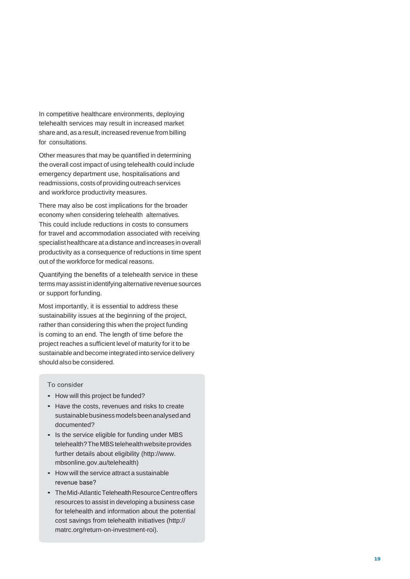In competitive healthcare environments, deploying telehealth services may result in increased market share and, as a result, increased revenue from billing for consultations.

Other measures that may be quantified in determining the overall cost impact of using telehealth could include emergency department use, hospitalisations and readmissions, costs of providing outreach services and workforce productivity measures.

There may also be cost implications for the broader economy when considering telehealth alternatives. This could include reductions in costs to consumers for travel and accommodation associated with receiving specialist healthcare at a distance and increases in overall productivity as a consequence of reductions in time spent out of the workforce for medical reasons.

Quantifying the benefits of a telehealth service in these terms may assist in identifying alternative revenue sources or support forfunding.

Most importantly, it is essential to address these sustainability issues at the beginning of the project, rather than considering this when the project funding is coming to an end. The length of time before the project reaches a sufficient level of maturity for it to be sustainable and become integrated into service delivery should also be considered.

- How will this project be funded?
- Have the costs, revenues and risks to create sustainablebusinessmodelsbeenanalysedand documented?
- Is the service eligible for funding under MBS telehealth? The MBS telehealth website provides further details about eligibility [\(http://www.](http://www/) mbsonline.gov.au/telehealth)
- How will the service attract a sustainable revenue base?
- TheMid -AtlanticTelehealthResourceCentreoffers resources to assist in developing a business case for telehealth and information about the potential cost savings from telehealth initiatives (http:// matrc.org/return -on -investment -roi).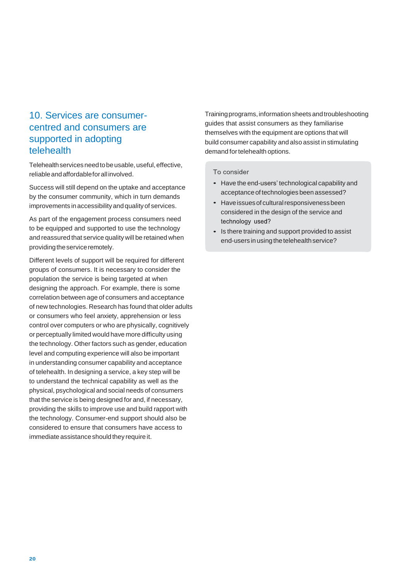## <span id="page-23-0"></span>10. Services are consumercentred and consumers are supported in adopting telehealth

Telehealth services need to be usable, useful, effective, reliableandaffordableforallinvolved.

Success will still depend on the uptake and acceptance by the consumer community, which in turn demands improvements in accessibilityand qualityof services.

As part of the engagement process consumers need to be equipped and supported to use the technology and reassured that service quality will be retained when providing the service remotely.

Different levels of support will be required for different groups of consumers. It is necessary to consider the population the service is being targeted at when designing the approach. For example, there is some correlation between age of consumers and acceptance of new technologies. Research has found that older adults or consumers who feel anxiety, apprehension or less control over computers or who are physically, cognitively or perceptually limited would have more difficulty using the technology. Other factors such as gender, education level and computing experience will also be important in understanding consumer capability and acceptance of telehealth. In designing a service, a key step will be to understand the technical capability as well as the physical, psychological and social needs of consumers that the service is being designed for and, if necessary, providing the skills to improve use and build rapport with the technology. Consumer-end support should also be considered to ensure that consumers have access to immediate assistance should they require it.

Trainingprograms,informationsheetsandtroubleshooting guides that assist consumers as they familiarise themselves with the equipment are options that will build consumer capability and also assist in stimulating demand for telehealth options.

- Have the end-users' technological capability and acceptance of technologies been assessed?
- Have issues of cultural responsiveness been considered in the design of the service and technology used?
- Is there training and support provided to assist end-users in using the telehealth service?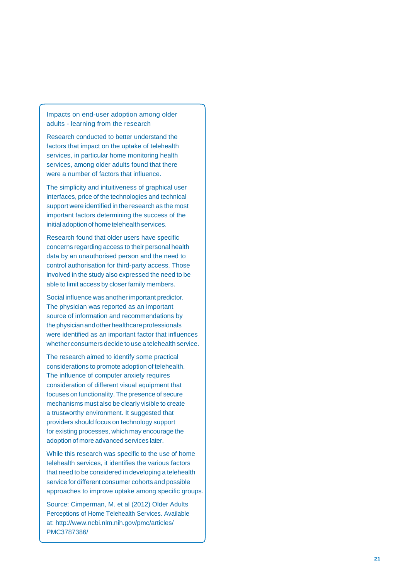Impacts on end -user adoption among older adults - learning from the research

Research conducted to better understand the factors that impact on the uptake of telehealth services, in particular home monitoring health services, among older adults found that there were a number of factors that influence.

The simplicity and intuitiveness of graphical user interfaces, price of the technologies and technical support were identified in the research as the most important factors determining the success of the initial adoption of home telehealth services.

Research found that older users have specific concerns regarding access to their personal health data by an unauthorised person and the need to control authorisation for third -party access. Those involved in the study also expressed the need to be able to limit access by closer family members.

Social influence was another important predictor. The physician was reported as an important source of information and recommendations by thephysicianandotherhealthcareprofessionals were identified as an important factor that influences whether consumers decide to use a telehealth service.

The research aimed to identify some practical considerations to promote adoption of telehealth. The influence of computer anxiety requires consideration of different visual equipment that focuses on functionality. The presence of secure mechanisms must also be clearly visible to create a trustworthy environment. It suggested that providers should focus on technology support for existing processes, which may encourage the adoption of more advanced services later.

While this research was specific to the use of home telehealth services, it identifies the various factors that need to be considered in developing a telehealth service for different consumer cohorts and possible approaches to improve uptake among specific groups.

Source: Cimperman, M. et al (2012) Older Adults Perceptions of Home Telehealth Services. Available at:<http://www.ncbi.nlm.nih.gov/pmc/articles/> PMC3787386/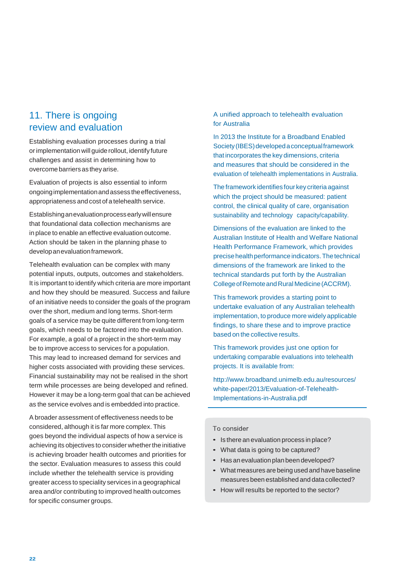## <span id="page-25-0"></span>11. There is ongoing review and evaluation

Establishing evaluation processes during a trial orimplementation will guide rollout, identify future challenges and assist in determining how to overcome barriers as they arise.

Evaluation of projects is also essential to inform ongoingimplementationandassess theeffectiveness, appropriateness and cost of a telehealth service.

Establishinganevaluationprocessearlywillensure that foundational data collection mechanisms are in place to enable an effective evaluation outcome. Action should be taken in the planning phase to developanevaluationframework.

Telehealth evaluation can be complex with many potential inputs, outputs, outcomes and stakeholders. It is important to identify which criteria are more important and how they should be measured. Success and failure of an initiative needs to consider the goals of the program over the short, medium and long terms. Short-term goals of a service may be quite different from long-term goals, which needs to be factored into the evaluation. For example, a goal of a project in the short-term may be to improve access to services for a population. This may lead to increased demand for services and higher costs associated with providing these services. Financial sustainability may not be realised in the short term while processes are being developed and refined. However it may be a long-term goal that can be achieved as the service evolves and is embedded into practice.

A broader assessment of effectiveness needs to be considered, although it is far more complex. This goes beyond the individual aspects of how a service is achieving its objectives to consider whether the initiative is achieving broader health outcomes and priorities for the sector. Evaluation measures to assess this could include whether the telehealth service is providing greater access to speciality services in a geographical area and/or contributing to improved health outcomes for specific consumer groups.

A unified approach to telehealth evaluation for Australia

In 2013 the Institute for a Broadband Enabled Society (IBES) developed a conceptual framework that incorporates the key dimensions, criteria and measures that should be considered in the evaluation of telehealth implementations in Australia.

The framework identifies four key criteria against which the project should be measured: patient control, the clinical quality of care, organisation sustainability and technology capacity/capability.

Dimensions of the evaluation are linked to the Australian Institute of Health and Welfare National Health Performance Framework, which provides precisehealthperformanceindicators.Thetechnical dimensions of the framework are linked to the technical standards put forth by the Australian CollegeofRemoteandRural Medicine(ACCRM).

This framework provides a starting point to undertake evaluation of any Australian telehealth implementation, to produce more widely applicable findings, to share these and to improve practice based on the collective results.

This framework provides just one option for undertaking comparable evaluations into telehealth projects. It is available from:

<http://www.broadband.unimelb.edu.au/resources/> white-paper/2013/Evaluation-of-Telehealth-Implementations-in-Australia.pdf

- Is there an evaluation process in place?
- What data is going to be captured?
- Has an evaluation plan been developed?
- What measures are being used and have baseline measures been established and data collected?
- How will results be reported to the sector?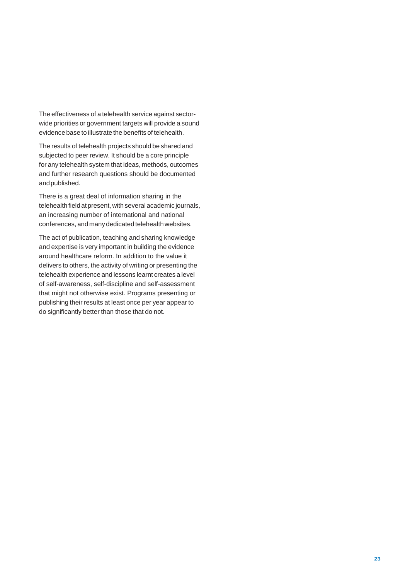The effectiveness of a telehealth service against sectorwide priorities or government targets will provide a sound evidence base to illustrate the benefits of telehealth.

The results of telehealth projects should be shared and subjected to peer review. It should be a core principle for any telehealth system that ideas, methods, outcomes and further research questions should be documented andpublished.

There is a great deal of information sharing in the telehealth field at present, with several academic journals, an increasing number of international and national conferences, and manydedicated telehealthwebsites.

The act of publication, teaching and sharing knowledge and expertise is very important in building the evidence around healthcare reform. In addition to the value it delivers to others, the activity of writing or presenting the telehealth experience and lessons learnt creates a level of self-awareness, self-discipline and self-assessment that might not otherwise exist. Programs presenting or publishing their results at least once per year appear to do significantly better than those that do not.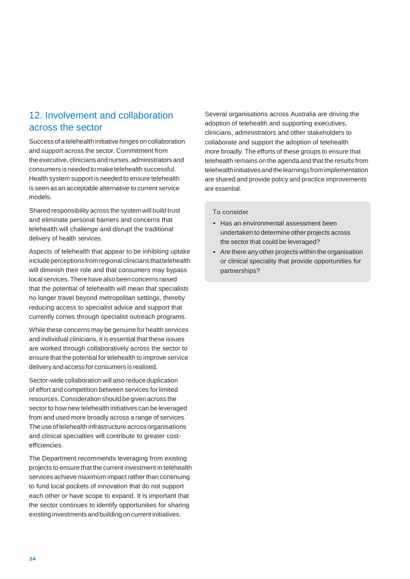## <span id="page-27-0"></span>12. Involvement and collaboration across the sector

Success of a telehealth initiative hinges on collaboration and support across the sector. Commitment from the executive, clinicians and nurses, administrators and consumers is needed to make telehealth successful. Health system support is needed to ensure telehealth is seen as an acceptable alternative to current service models.

Shared responsibility across the system will build trust and eliminate personal barriers and concerns that telehealth will challenge and disrupt the traditional delivery of health services.

Aspects of telehealth that appear to be inhibiting uptake include perceptions from regional clinicians that telehealth will diminish their role and that consumers may bypass local services. There have also been concerns raised that the potential of telehealth will mean that specialists no longer travel beyond metropolitan settings, thereby reducing access to specialist advice and support that currently comes through specialist outreach programs.

While these concerns may be genuine for health services and individual clinicians, it is essential that these issues are worked through collaboratively across the sector to ensure that the potential for telehealth to improve service delivery and access for consumers is realised.

Sector-wide collaboration will also reduce duplication of effort and competition between services for limited resources. Consideration should be given across the sector to how new telehealth initiatives can be leveraged from and used more broadly across a range of services. The use of telehealth infrastructure across organisations and clinical specialties will contribute to greater costefficiencies.

The Department recommends leveraging from existing projects to ensure that the current investment in telehealth services achieve maximum impact rather than continuing to fund local pockets of innovation that do not support each other or have scope to expand. It is important that the sector continues to identify opportunities for sharing existing investments and building on current initiatives.

Several organisations across Australia are driving the adoption of telehealth and supporting executives, clinicians, administrators and other stakeholders to collaborate and support the adoption of telehealth more broadly. The efforts of these groups to ensure that telehealth remains on the agenda and that the results from telehealth initiatives and the learnings from implementation are shared and provide policy and practice improvements are essential.

- Has an environmental assessment been undertaken to determine other projects across the sector that could be leveraged?
- Are there any other projects within the organisation or clinical speciality that provide opportunities for partnerships?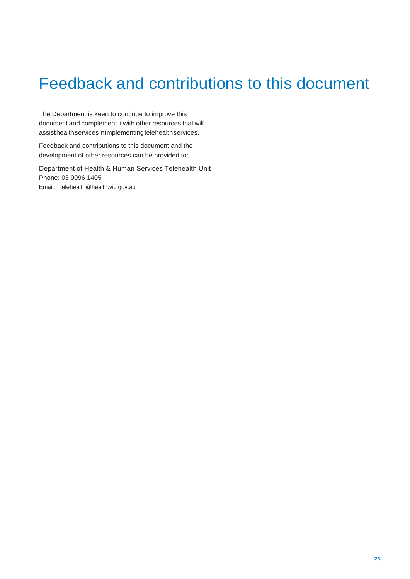## <span id="page-28-0"></span>Feedback and contributions to this document

The Department is keen to continue to improve this document and complement it with other resources that will assisthealthservicesinimplementingtelehealthservices.

Feedback and contributions to this document and the development of other resources can be provided to:

Department of Health & Human Services Telehealth Unit Phone: 03 9096 1405 Email: [telehealth@health.vic.gov.au](mailto:telehealth@health.vic.gov.au)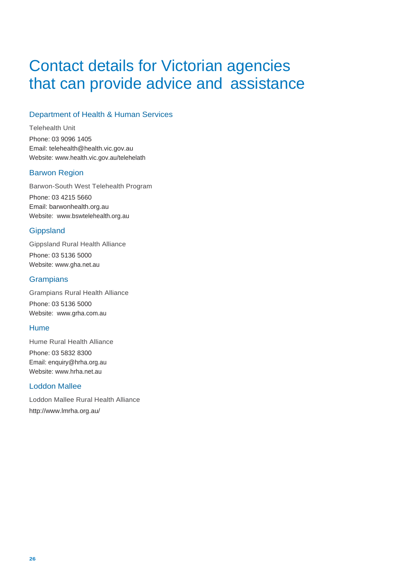## <span id="page-29-0"></span>Contact details for Victorian agencies that can provide advice and assistance

## Department of Health & Human Services

Telehealth Unit Phone: 03 9096 1405 Email: [telehealth@health.vic.gov.au](mailto:telehealth@health.vic.gov.au) Website: [www.health.vic.gov.au/telehelath](http://www.health.vic.gov.au/telehelath)

## Barwon Region

Barwon-South West Telehealth Program Phone: 03 4215 5660 Email: barwonhealth.org.au Website: [www.bswtelehealth.org.au](http://www.bswtelehealth.org.au/)

## **Gippsland**

Gippsland Rural Health Alliance Phone: 03 5136 5000 Website: [www.gha.net.au](http://www.gha.net.au/)

### **Grampians**

Grampians Rural Health Alliance Phone: 03 5136 5000 Website: [www.grha.com.au](http://www.grha.com.au/)

## Hume

Hume Rural Health Alliance Phone: 03 5832 8300 Email: [enquiry@hrha.org.au](mailto:enquiry@hrha.org.au) Website: [www.hrha.net.au](http://www.hrha.net.au/)

## Loddon Mallee

Loddon Mallee Rural Health Alliance <http://www.lmrha.org.au/>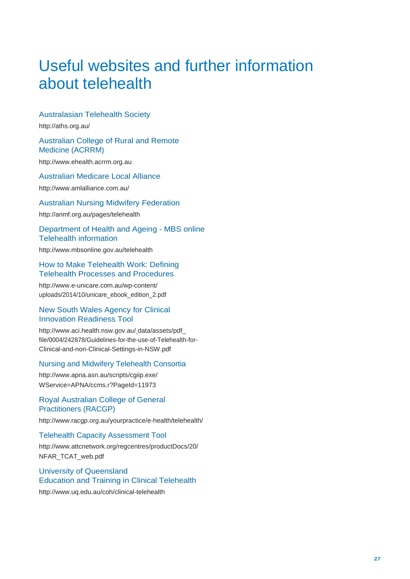## <span id="page-30-0"></span>Useful websites and further information about telehealth

## Australasian Telehealth Society

<http://aths.org.au/>

#### Australian College of Rural and Remote Medicine (ACRRM)

[http://www.ehealth.acrrm.org.au](http://www.ehealth.acrrm.org.au/)

## Australian Medicare Local Alliance

<http://www.amlalliance.com.au/>

### Australian Nursing Midwifery Federation

<http://anmf.org.au/pages/telehealth>

#### Department of Health and Ageing - MBS online Telehealth information

<http://www.mbsonline.gov.au/telehealth>

#### How to Make Telehealth Work: Defining Telehealth Processes and Procedures

<http://www.e-unicare.com.au/wp-content/> uploads/2014/10/unicare\_ebook\_edition\_2.pdf

### New South Wales Agency for Clinical Innovation Readiness Tool

<http://www.aci.health.nsw.gov.au/> data/assets/pdf\_ file/0004/242878/Guidelines-for-the-use-of-Telehealth-for-Clinical-and-non-Clinical-Settings-in-NSW.pdf

## Nursing and Midwifery Telehealth Consortia

<http://www.apna.asn.au/scripts/cgiip.exe/> WService=APNA/ccms.r?PageId=11973

## Royal Australian College of General Practitioners (RACGP)

<http://www.racgp.org.au/yourpractice/e-health/telehealth/>

#### Telehealth Capacity Assessment Tool

<http://www.attcnetwork.org/regcentres/productDocs/20/> NFAR\_TCAT\_web.pdf

## University of Queensland Education and Training in Clinical Telehealth

<http://www.uq.edu.au/coh/clinical-telehealth>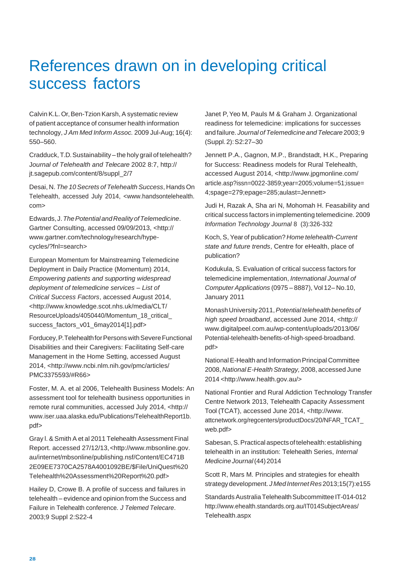## <span id="page-31-0"></span>References drawn on in developing critical success factors

Calvin K.L. Or, Ben-Tzion Karsh, A systematic review of patient acceptance of consumer health information technology, *J Am Med Inform Assoc.* 2009 Jul-Aug; 16(4): 550–560.

Cradduck, T.D.Sustainability – the holy grail of telehealth? J*ournal of Telehealth and Telecare* 2002 8:7, http:// jt.sagepub.com/content/8/suppl\_2/7

Desai, N. *The 10Secrets of Telehealth Success*, Hands On Telehealth, accessed July 2014, <www.handsontelehealth. com>

Edwards,J.*ThePotentialandRealityofTelemedicine*. Gartner Consulting, accessed 09/09/2013, <http:// [www.gartner.com/technology/research/hype](http://www.gartner.com/technology/research/hype-)cycles/?fnl=search>

European Momentum for Mainstreaming Telemedicine Deployment in Daily Practice (Momentum) 2014, *Empowering patients and supporting widespread deployment of telemedicine services – List of Critical Success Factors*, accessed August 2014, [<http://www.knowledge.scot.nhs.uk/media/CLT/](http://www.knowledge.scot.nhs.uk/media/CLT/) ResourceUploads/4050440/Momentum\_18\_critical\_ success\_factors\_v01\_6may2014[1].pdf>

Forducey, P. Telehealth for Persons with Severe Functional Disabilities and their Caregivers: Facilitating Self-care Management in the Home Setting, accessed August 2014, [<http://www.ncbi.nlm.nih.gov/pmc/articles/](http://www.ncbi.nlm.nih.gov/pmc/articles/) PMC3375593/#R66>

Foster, M. A. et al 2006, Telehealth Business Models: An assessment tool for telehealth business opportunities in remote rural communities, accessed July 2014, <http:// [www.iser.uaa.alaska.edu/Publications/TelehealthReport1b.](http://www.iser.uaa.alaska.edu/Publications/TelehealthReport1b) pdf>

Gray l. & Smith A et al 2011 Telehealth Assessment Final Report. accessed 27/12/13[,<http://www.mbsonline.gov.](http://www.mbsonline.gov/) au/internet/mbsonline/publishing.nsf/Content/EC471B 2E09EE7370CA2578A4001092BE/\$File/UniQuest%20 Telehealth%20Assessment%20Report%20.pdf>

Hailey D, Crowe B. A profile of success and failures in telehealth – evidence and opinion from the Success and Failure in Telehealth conference. *J Telemed Telecare*. 2003;9 Suppl 2:S22-4

Janet P, Yeo M, Pauls M & Graham J. Organizational readiness for telemedicine: implications for successes and failure. *Journal ofTelemedicine and Telecare* 2003; 9 (Suppl.2):S2:27–30

Jennett P.A., Gagnon, M.P., Brandstadt, H.K., Preparing for Success: Readiness models for Rural Telehealth, accessed August 2014, [<http://www.jpgmonline.com/](http://www.jpgmonline.com/) article.asp?issn=0022-3859;year=2005;volume=51;issue= 4;spage=279;epage=285;aulast=Jennett>

Judi H, Razak A, Sha ari N, Mohomah H. Feasability and critical success factors in implementing telemedicine. 2009 *Information Technology Journal* 8 (3):326-332

Koch, S,Yearof publication? *Home telehealth-Current state and future trends*, Centre for eHealth, place of publication?

Kodukula, S. Evaluation of critical success factors for telemedicine implementation, *International Journal of Computer Applications* (0975 – 8887), Vol 12– No.10, January 2011

MonashUniversity2011,*Potentialtelehealthbenefitsof high speed broadband*, accessed June 2014, <http:// [www.digitalpeel.com.au/wp-content/uploads/2013/06/](http://www.digitalpeel.com.au/wp-content/uploads/2013/06/) Potential-telehealth-benefits-of-high-speed-broadband. pdf>

National E-Health and Information Principal Committee 2008, *NationalE-HealthStrategy,* 2008, accessed June 2014 [<http://www.health.gov.au/>](http://www.health.gov.au/)

National Frontier and Rural Addiction Technology Transfer Centre Network 2013, Telehealth Capacity Assessment Tool (TCAT), accessed June 2014, [<http://www.](http://www/) attcnetwork.org/regcenters/productDocs/20/NFAR\_TCAT\_ web.pdf>

Sabesan, S. Practical aspects of telehealth: establishing telehealth in an institution: Telehealth Series, *Internal MedicineJournal*(44)2014

Scott R, Mars M. Principles and strategies for ehealth strategydevelopment. *J Med InternetRes* 2013;15(7):e155

Standards Australia Telehealth Subcommittee IT-014-012 <http://www.ehealth.standards.org.au/IT014SubjectAreas/> Telehealth.aspx